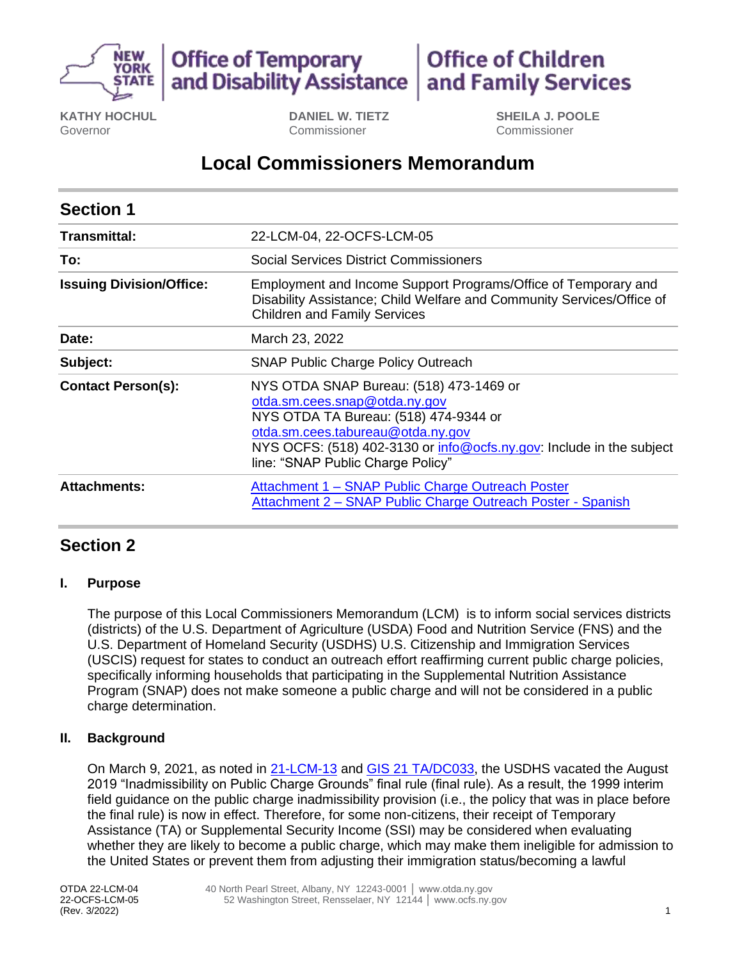

#### **Office of Children Office of Temporary** and Disability Assistance and Family Services

**KATHY HOCHUL** Governor

**DANIEL W. TIETZ** Commissioner

**SHEILA J. POOLE** Commissioner

# **Local Commissioners Memorandum**

| <b>Section 1</b>                |                                                                                                                                                                                                                                                                     |
|---------------------------------|---------------------------------------------------------------------------------------------------------------------------------------------------------------------------------------------------------------------------------------------------------------------|
| Transmittal:                    | 22-LCM-04, 22-OCFS-LCM-05                                                                                                                                                                                                                                           |
| To:                             | Social Services District Commissioners                                                                                                                                                                                                                              |
| <b>Issuing Division/Office:</b> | Employment and Income Support Programs/Office of Temporary and<br>Disability Assistance; Child Welfare and Community Services/Office of<br><b>Children and Family Services</b>                                                                                      |
| Date:                           | March 23, 2022                                                                                                                                                                                                                                                      |
| Subject:                        | <b>SNAP Public Charge Policy Outreach</b>                                                                                                                                                                                                                           |
| <b>Contact Person(s):</b>       | NYS OTDA SNAP Bureau: (518) 473-1469 or<br>otda.sm.cees.snap@otda.ny.gov<br>NYS OTDA TA Bureau: (518) 474-9344 or<br>otda.sm.cees.tabureau@otda.ny.gov<br>NYS OCFS: (518) 402-3130 or info@ocfs.ny.gov: Include in the subject<br>line: "SNAP Public Charge Policy" |
| <b>Attachments:</b>             | Attachment 1 - SNAP Public Charge Outreach Poster<br>Attachment 2 – SNAP Public Charge Outreach Poster - Spanish                                                                                                                                                    |

## **Section 2**

### **I. Purpose**

The purpose of this Local Commissioners Memorandum (LCM) is to inform social services districts (districts) of the U.S. Department of Agriculture (USDA) Food and Nutrition Service (FNS) and the U.S. Department of Homeland Security (USDHS) U.S. Citizenship and Immigration Services (USCIS) request for states to conduct an outreach effort reaffirming current public charge policies, specifically informing households that participating in the Supplemental Nutrition Assistance Program (SNAP) does not make someone a public charge and will not be considered in a public charge determination.

### **II. Background**

On March 9, 2021, as noted in [21-LCM-13](https://otda.ny.gov/policy/directives/2021/LCM/21-LCM-13.pdf) and [GIS 21 TA/DC033,](https://otda.ny.gov/policy/gis/2021/21DC033.pdf) the USDHS vacated the August 2019 "Inadmissibility on Public Charge Grounds" final rule (final rule). As a result, the 1999 interim field guidance on the public charge inadmissibility provision (i.e., the policy that was in place before the final rule) is now in effect. Therefore, for some non-citizens, their receipt of Temporary Assistance (TA) or Supplemental Security Income (SSI) may be considered when evaluating whether they are likely to become a public charge, which may make them ineligible for admission to the United States or prevent them from adjusting their immigration status/becoming a lawful